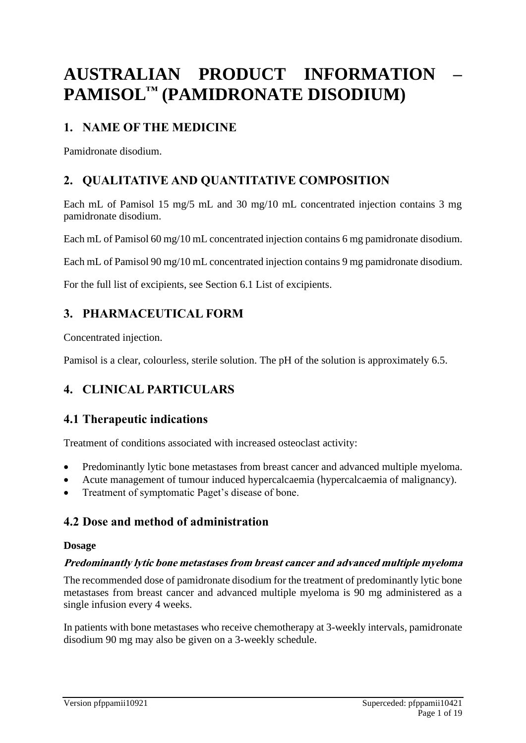# **AUSTRALIAN PRODUCT INFORMATION – PAMISOL™ (PAMIDRONATE DISODIUM)**

# **1. NAME OF THE MEDICINE**

Pamidronate disodium.

# **2. QUALITATIVE AND QUANTITATIVE COMPOSITION**

Each mL of Pamisol 15 mg/5 mL and 30 mg/10 mL concentrated injection contains 3 mg pamidronate disodium.

Each mL of Pamisol 60 mg/10 mL concentrated injection contains 6 mg pamidronate disodium.

Each mL of Pamisol 90 mg/10 mL concentrated injection contains 9 mg pamidronate disodium.

For the full list of excipients, see Section 6.1 List of excipients.

# **3. PHARMACEUTICAL FORM**

Concentrated injection.

Pamisol is a clear, colourless, sterile solution. The pH of the solution is approximately 6.5.

# **4. CLINICAL PARTICULARS**

# **4.1 Therapeutic indications**

Treatment of conditions associated with increased osteoclast activity:

- Predominantly lytic bone metastases from breast cancer and advanced multiple myeloma.
- Acute management of tumour induced hypercalcaemia (hypercalcaemia of malignancy).
- Treatment of symptomatic Paget's disease of bone.

# **4.2 Dose and method of administration**

#### **Dosage**

#### **Predominantly lytic bone metastases from breast cancer and advanced multiple myeloma**

The recommended dose of pamidronate disodium for the treatment of predominantly lytic bone metastases from breast cancer and advanced multiple myeloma is 90 mg administered as a single infusion every 4 weeks.

In patients with bone metastases who receive chemotherapy at 3-weekly intervals, pamidronate disodium 90 mg may also be given on a 3-weekly schedule.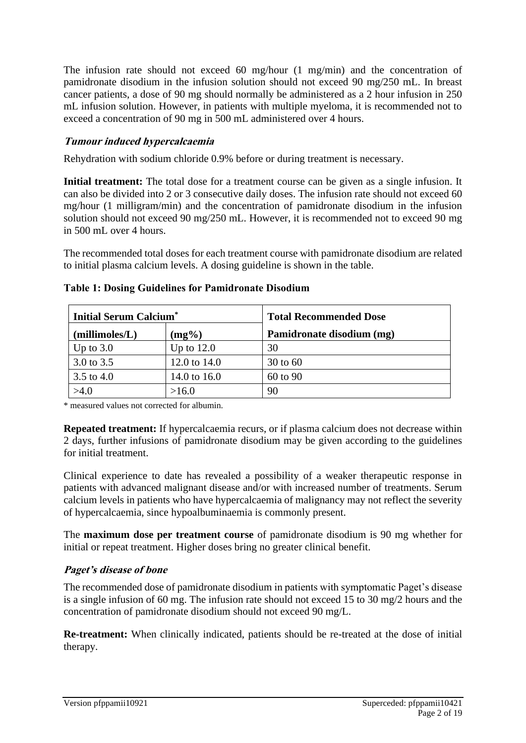The infusion rate should not exceed 60 mg/hour (1 mg/min) and the concentration of pamidronate disodium in the infusion solution should not exceed 90 mg/250 mL. In breast cancer patients, a dose of 90 mg should normally be administered as a 2 hour infusion in 250 mL infusion solution. However, in patients with multiple myeloma, it is recommended not to exceed a concentration of 90 mg in 500 mL administered over 4 hours.

### **Tumour induced hypercalcaemia**

Rehydration with sodium chloride 0.9% before or during treatment is necessary.

**Initial treatment:** The total dose for a treatment course can be given as a single infusion. It can also be divided into 2 or 3 consecutive daily doses. The infusion rate should not exceed 60 mg/hour (1 milligram/min) and the concentration of pamidronate disodium in the infusion solution should not exceed 90 mg/250 mL. However, it is recommended not to exceed 90 mg in 500 mL over 4 hours.

The recommended total doses for each treatment course with pamidronate disodium are related to initial plasma calcium levels. A dosing guideline is shown in the table.

| <b>Initial Serum Calcium*</b> |              | <b>Total Recommended Dose</b> |  |
|-------------------------------|--------------|-------------------------------|--|
| (millimoles/L)                | $(mg\%)$     | Pamidronate disodium (mg)     |  |
| Up to $3.0$                   | Up to $12.0$ | 30                            |  |
| 3.0 to 3.5                    | 12.0 to 14.0 | 30 to 60                      |  |
| 3.5 to 4.0                    | 14.0 to 16.0 | 60 to 90                      |  |
| >4.0                          | >16.0        | 90                            |  |

#### **Table 1: Dosing Guidelines for Pamidronate Disodium**

\* measured values not corrected for albumin.

**Repeated treatment:** If hypercalcaemia recurs, or if plasma calcium does not decrease within 2 days, further infusions of pamidronate disodium may be given according to the guidelines for initial treatment.

Clinical experience to date has revealed a possibility of a weaker therapeutic response in patients with advanced malignant disease and/or with increased number of treatments. Serum calcium levels in patients who have hypercalcaemia of malignancy may not reflect the severity of hypercalcaemia, since hypoalbuminaemia is commonly present.

The **maximum dose per treatment course** of pamidronate disodium is 90 mg whether for initial or repeat treatment. Higher doses bring no greater clinical benefit.

#### **Paget's disease of bone**

The recommended dose of pamidronate disodium in patients with symptomatic Paget's disease is a single infusion of 60 mg. The infusion rate should not exceed 15 to 30 mg/2 hours and the concentration of pamidronate disodium should not exceed 90 mg/L.

**Re-treatment:** When clinically indicated, patients should be re-treated at the dose of initial therapy.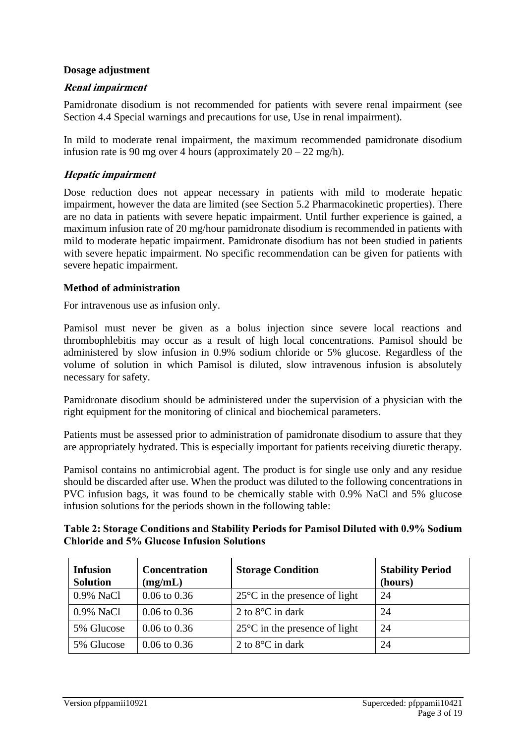#### **Dosage adjustment**

#### **Renal impairment**

Pamidronate disodium is not recommended for patients with severe renal impairment (see Section 4.4 Special warnings and precautions for use, Use in renal impairment).

In mild to moderate renal impairment, the maximum recommended pamidronate disodium infusion rate is 90 mg over 4 hours (approximately  $20 - 22$  mg/h).

#### **Hepatic impairment**

Dose reduction does not appear necessary in patients with mild to moderate hepatic impairment, however the data are limited (see Section 5.2 Pharmacokinetic properties). There are no data in patients with severe hepatic impairment. Until further experience is gained, a maximum infusion rate of 20 mg/hour pamidronate disodium is recommended in patients with mild to moderate hepatic impairment. Pamidronate disodium has not been studied in patients with severe hepatic impairment. No specific recommendation can be given for patients with severe hepatic impairment.

#### **Method of administration**

For intravenous use as infusion only.

Pamisol must never be given as a bolus injection since severe local reactions and thrombophlebitis may occur as a result of high local concentrations. Pamisol should be administered by slow infusion in 0.9% sodium chloride or 5% glucose. Regardless of the volume of solution in which Pamisol is diluted, slow intravenous infusion is absolutely necessary for safety.

Pamidronate disodium should be administered under the supervision of a physician with the right equipment for the monitoring of clinical and biochemical parameters.

Patients must be assessed prior to administration of pamidronate disodium to assure that they are appropriately hydrated. This is especially important for patients receiving diuretic therapy.

Pamisol contains no antimicrobial agent. The product is for single use only and any residue should be discarded after use. When the product was diluted to the following concentrations in PVC infusion bags, it was found to be chemically stable with 0.9% NaCl and 5% glucose infusion solutions for the periods shown in the following table:

| Table 2: Storage Conditions and Stability Periods for Pamisol Diluted with 0.9% Sodium |
|----------------------------------------------------------------------------------------|
| <b>Chloride and 5% Glucose Infusion Solutions</b>                                      |

| <b>Infusion</b><br><b>Solution</b> | <b>Concentration</b><br>(mg/mL) | <b>Storage Condition</b>                | <b>Stability Period</b><br>(hours) |
|------------------------------------|---------------------------------|-----------------------------------------|------------------------------------|
| 0.9% NaCl                          | $0.06 \text{ to } 0.36$         | $25^{\circ}$ C in the presence of light | 24                                 |
| 0.9% NaCl                          | $0.06 \text{ to } 0.36$         | 2 to $8^{\circ}$ C in dark              | 24                                 |
| 5% Glucose                         | $0.06 \text{ to } 0.36$         | $25^{\circ}$ C in the presence of light | 24                                 |
| 5% Glucose                         | $0.06 \text{ to } 0.36$         | 2 to $8^{\circ}$ C in dark              | 24                                 |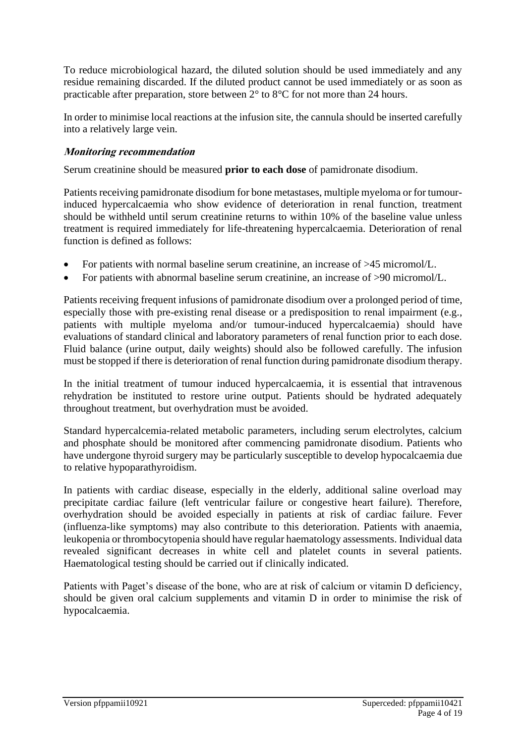To reduce microbiological hazard, the diluted solution should be used immediately and any residue remaining discarded. If the diluted product cannot be used immediately or as soon as practicable after preparation, store between 2° to 8°C for not more than 24 hours.

In order to minimise local reactions at the infusion site, the cannula should be inserted carefully into a relatively large vein.

#### **Monitoring recommendation**

Serum creatinine should be measured **prior to each dose** of pamidronate disodium.

Patients receiving pamidronate disodium for bone metastases, multiple myeloma or for tumourinduced hypercalcaemia who show evidence of deterioration in renal function, treatment should be withheld until serum creatinine returns to within 10% of the baseline value unless treatment is required immediately for life-threatening hypercalcaemia. Deterioration of renal function is defined as follows:

- For patients with normal baseline serum creatinine, an increase of >45 micromol/L.
- For patients with abnormal baseline serum creatinine, an increase of >90 micromol/L.

Patients receiving frequent infusions of pamidronate disodium over a prolonged period of time, especially those with pre-existing renal disease or a predisposition to renal impairment (e.g., patients with multiple myeloma and/or tumour-induced hypercalcaemia) should have evaluations of standard clinical and laboratory parameters of renal function prior to each dose. Fluid balance (urine output, daily weights) should also be followed carefully. The infusion must be stopped if there is deterioration of renal function during pamidronate disodium therapy.

In the initial treatment of tumour induced hypercalcaemia, it is essential that intravenous rehydration be instituted to restore urine output. Patients should be hydrated adequately throughout treatment, but overhydration must be avoided.

Standard hypercalcemia-related metabolic parameters, including serum electrolytes, calcium and phosphate should be monitored after commencing pamidronate disodium. Patients who have undergone thyroid surgery may be particularly susceptible to develop hypocalcaemia due to relative hypoparathyroidism.

In patients with cardiac disease, especially in the elderly, additional saline overload may precipitate cardiac failure (left ventricular failure or congestive heart failure). Therefore, overhydration should be avoided especially in patients at risk of cardiac failure. Fever (influenza-like symptoms) may also contribute to this deterioration. Patients with anaemia, leukopenia or thrombocytopenia should have regular haematology assessments. Individual data revealed significant decreases in white cell and platelet counts in several patients. Haematological testing should be carried out if clinically indicated.

Patients with Paget's disease of the bone, who are at risk of calcium or vitamin D deficiency, should be given oral calcium supplements and vitamin D in order to minimise the risk of hypocalcaemia.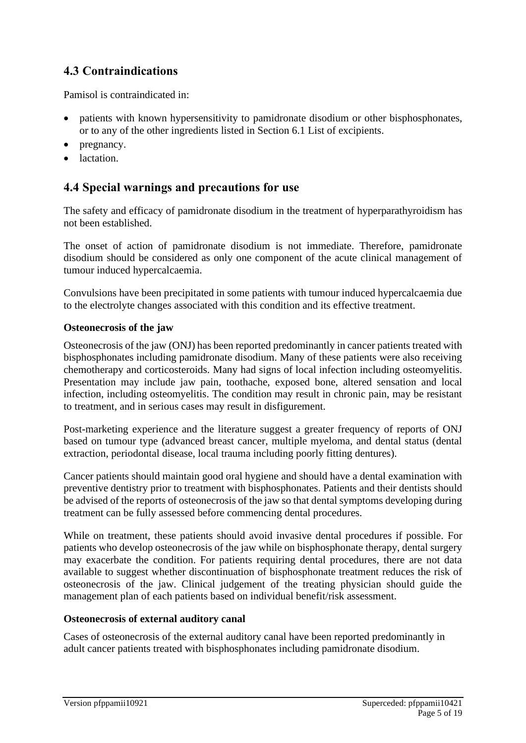# **4.3 Contraindications**

Pamisol is contraindicated in:

- patients with known hypersensitivity to pamidronate disodium or other bisphosphonates, or to any of the other ingredients listed in Section 6.1 List of excipients.
- pregnancy.
- lactation.

### **4.4 Special warnings and precautions for use**

The safety and efficacy of pamidronate disodium in the treatment of hyperparathyroidism has not been established.

The onset of action of pamidronate disodium is not immediate. Therefore, pamidronate disodium should be considered as only one component of the acute clinical management of tumour induced hypercalcaemia.

Convulsions have been precipitated in some patients with tumour induced hypercalcaemia due to the electrolyte changes associated with this condition and its effective treatment.

#### **Osteonecrosis of the jaw**

Osteonecrosis of the jaw (ONJ) has been reported predominantly in cancer patients treated with bisphosphonates including pamidronate disodium. Many of these patients were also receiving chemotherapy and corticosteroids. Many had signs of local infection including osteomyelitis. Presentation may include jaw pain, toothache, exposed bone, altered sensation and local infection, including osteomyelitis. The condition may result in chronic pain, may be resistant to treatment, and in serious cases may result in disfigurement.

Post-marketing experience and the literature suggest a greater frequency of reports of ONJ based on tumour type (advanced breast cancer, multiple myeloma, and dental status (dental extraction, periodontal disease, local trauma including poorly fitting dentures).

Cancer patients should maintain good oral hygiene and should have a dental examination with preventive dentistry prior to treatment with bisphosphonates. Patients and their dentists should be advised of the reports of osteonecrosis of the jaw so that dental symptoms developing during treatment can be fully assessed before commencing dental procedures.

While on treatment, these patients should avoid invasive dental procedures if possible. For patients who develop osteonecrosis of the jaw while on bisphosphonate therapy, dental surgery may exacerbate the condition. For patients requiring dental procedures, there are not data available to suggest whether discontinuation of bisphosphonate treatment reduces the risk of osteonecrosis of the jaw. Clinical judgement of the treating physician should guide the management plan of each patients based on individual benefit/risk assessment.

#### **Osteonecrosis of external auditory canal**

Cases of osteonecrosis of the external auditory canal have been reported predominantly in adult cancer patients treated with bisphosphonates including pamidronate disodium.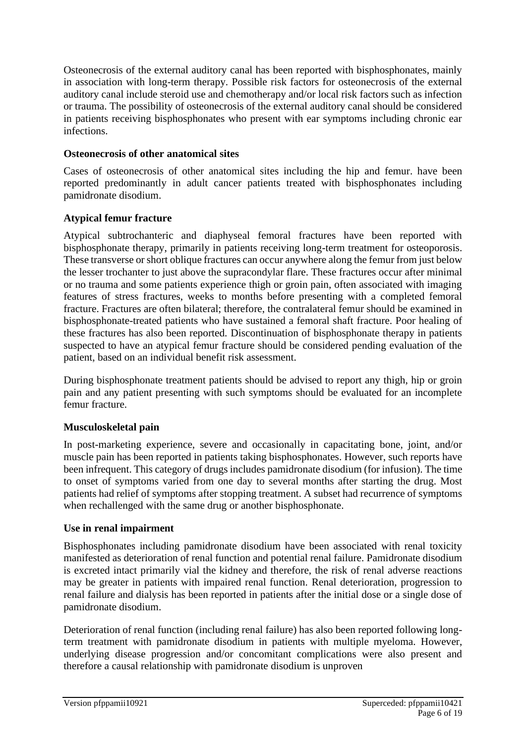Osteonecrosis of the external auditory canal has been reported with bisphosphonates, mainly in association with long-term therapy. Possible risk factors for osteonecrosis of the external auditory canal include steroid use and chemotherapy and/or local risk factors such as infection or trauma. The possibility of osteonecrosis of the external auditory canal should be considered in patients receiving bisphosphonates who present with ear symptoms including chronic ear infections.

#### **Osteonecrosis of other anatomical sites**

Cases of osteonecrosis of other anatomical sites including the hip and femur. have been reported predominantly in adult cancer patients treated with bisphosphonates including pamidronate disodium.

#### **Atypical femur fracture**

Atypical subtrochanteric and diaphyseal femoral fractures have been reported with bisphosphonate therapy, primarily in patients receiving long-term treatment for osteoporosis. These transverse or short oblique fractures can occur anywhere along the femur from just below the lesser trochanter to just above the supracondylar flare. These fractures occur after minimal or no trauma and some patients experience thigh or groin pain, often associated with imaging features of stress fractures, weeks to months before presenting with a completed femoral fracture. Fractures are often bilateral; therefore, the contralateral femur should be examined in bisphosphonate-treated patients who have sustained a femoral shaft fracture. Poor healing of these fractures has also been reported. Discontinuation of bisphosphonate therapy in patients suspected to have an atypical femur fracture should be considered pending evaluation of the patient, based on an individual benefit risk assessment.

During bisphosphonate treatment patients should be advised to report any thigh, hip or groin pain and any patient presenting with such symptoms should be evaluated for an incomplete femur fracture.

#### **Musculoskeletal pain**

In post-marketing experience, severe and occasionally in capacitating bone, joint, and/or muscle pain has been reported in patients taking bisphosphonates. However, such reports have been infrequent. This category of drugs includes pamidronate disodium (for infusion). The time to onset of symptoms varied from one day to several months after starting the drug. Most patients had relief of symptoms after stopping treatment. A subset had recurrence of symptoms when rechallenged with the same drug or another bisphosphonate.

#### **Use in renal impairment**

Bisphosphonates including pamidronate disodium have been associated with renal toxicity manifested as deterioration of renal function and potential renal failure. Pamidronate disodium is excreted intact primarily vial the kidney and therefore, the risk of renal adverse reactions may be greater in patients with impaired renal function. Renal deterioration, progression to renal failure and dialysis has been reported in patients after the initial dose or a single dose of pamidronate disodium.

Deterioration of renal function (including renal failure) has also been reported following longterm treatment with pamidronate disodium in patients with multiple myeloma. However, underlying disease progression and/or concomitant complications were also present and therefore a causal relationship with pamidronate disodium is unproven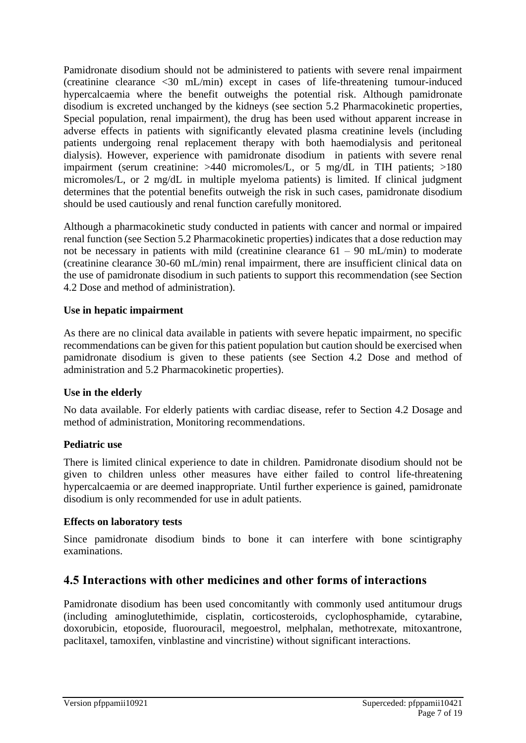Pamidronate disodium should not be administered to patients with severe renal impairment (creatinine clearance <30 mL/min) except in cases of life-threatening tumour-induced hypercalcaemia where the benefit outweighs the potential risk. Although pamidronate disodium is excreted unchanged by the kidneys (see section 5.2 Pharmacokinetic properties, Special population, renal impairment), the drug has been used without apparent increase in adverse effects in patients with significantly elevated plasma creatinine levels (including patients undergoing renal replacement therapy with both haemodialysis and peritoneal dialysis). However, experience with pamidronate disodium in patients with severe renal impairment (serum creatinine: >440 micromoles/L, or 5 mg/dL in TIH patients; >180 micromoles/L, or 2 mg/dL in multiple myeloma patients) is limited. If clinical judgment determines that the potential benefits outweigh the risk in such cases, pamidronate disodium should be used cautiously and renal function carefully monitored.

Although a pharmacokinetic study conducted in patients with cancer and normal or impaired renal function (see Section 5.2 Pharmacokinetic properties) indicates that a dose reduction may not be necessary in patients with mild (creatinine clearance  $61 - 90$  mL/min) to moderate (creatinine clearance 30-60 mL/min) renal impairment, there are insufficient clinical data on the use of pamidronate disodium in such patients to support this recommendation (see Section 4.2 Dose and method of administration).

#### **Use in hepatic impairment**

As there are no clinical data available in patients with severe hepatic impairment, no specific recommendations can be given for this patient population but caution should be exercised when pamidronate disodium is given to these patients (see Section 4.2 Dose and method of administration and 5.2 Pharmacokinetic properties).

#### **Use in the elderly**

No data available. For elderly patients with cardiac disease, refer to Section 4.2 Dosage and method of administration, Monitoring recommendations.

#### **Pediatric use**

There is limited clinical experience to date in children. Pamidronate disodium should not be given to children unless other measures have either failed to control life-threatening hypercalcaemia or are deemed inappropriate. Until further experience is gained, pamidronate disodium is only recommended for use in adult patients.

#### **Effects on laboratory tests**

Since pamidronate disodium binds to bone it can interfere with bone scintigraphy examinations.

### **4.5 Interactions with other medicines and other forms of interactions**

Pamidronate disodium has been used concomitantly with commonly used antitumour drugs (including aminoglutethimide, cisplatin, corticosteroids, cyclophosphamide, cytarabine, doxorubicin, etoposide, fluorouracil, megoestrol, melphalan, methotrexate, mitoxantrone, paclitaxel, tamoxifen, vinblastine and vincristine) without significant interactions.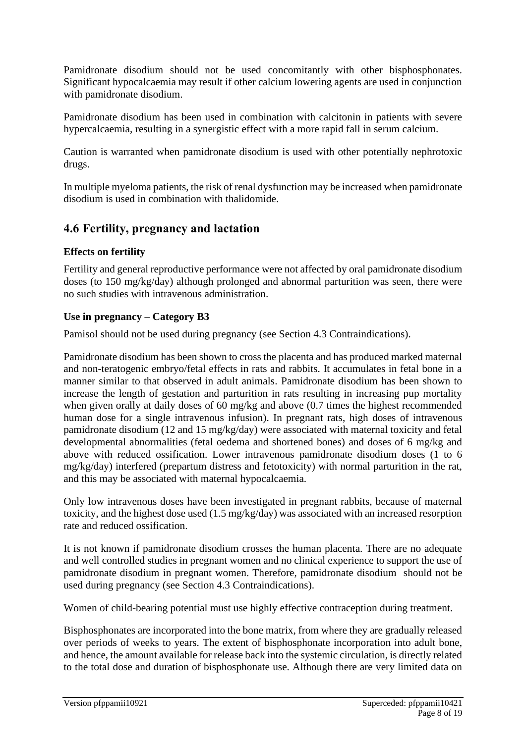Pamidronate disodium should not be used concomitantly with other bisphosphonates. Significant hypocalcaemia may result if other calcium lowering agents are used in conjunction with pamidronate disodium.

Pamidronate disodium has been used in combination with calcitonin in patients with severe hypercalcaemia, resulting in a synergistic effect with a more rapid fall in serum calcium.

Caution is warranted when pamidronate disodium is used with other potentially nephrotoxic drugs.

In multiple myeloma patients, the risk of renal dysfunction may be increased when pamidronate disodium is used in combination with thalidomide.

### **4.6 Fertility, pregnancy and lactation**

#### **Effects on fertility**

Fertility and general reproductive performance were not affected by oral pamidronate disodium doses (to 150 mg/kg/day) although prolonged and abnormal parturition was seen, there were no such studies with intravenous administration.

#### **Use in pregnancy – Category B3**

Pamisol should not be used during pregnancy (see Section 4.3 Contraindications).

Pamidronate disodium has been shown to cross the placenta and has produced marked maternal and non-teratogenic embryo/fetal effects in rats and rabbits. It accumulates in fetal bone in a manner similar to that observed in adult animals. Pamidronate disodium has been shown to increase the length of gestation and parturition in rats resulting in increasing pup mortality when given orally at daily doses of 60 mg/kg and above (0.7 times the highest recommended human dose for a single intravenous infusion). In pregnant rats, high doses of intravenous pamidronate disodium (12 and 15 mg/kg/day) were associated with maternal toxicity and fetal developmental abnormalities (fetal oedema and shortened bones) and doses of 6 mg/kg and above with reduced ossification. Lower intravenous pamidronate disodium doses (1 to 6 mg/kg/day) interfered (prepartum distress and fetotoxicity) with normal parturition in the rat, and this may be associated with maternal hypocalcaemia.

Only low intravenous doses have been investigated in pregnant rabbits, because of maternal toxicity, and the highest dose used (1.5 mg/kg/day) was associated with an increased resorption rate and reduced ossification.

It is not known if pamidronate disodium crosses the human placenta. There are no adequate and well controlled studies in pregnant women and no clinical experience to support the use of pamidronate disodium in pregnant women. Therefore, pamidronate disodium should not be used during pregnancy (see Section 4.3 Contraindications).

Women of child-bearing potential must use highly effective contraception during treatment.

Bisphosphonates are incorporated into the bone matrix, from where they are gradually released over periods of weeks to years. The extent of bisphosphonate incorporation into adult bone, and hence, the amount available for release back into the systemic circulation, is directly related to the total dose and duration of bisphosphonate use. Although there are very limited data on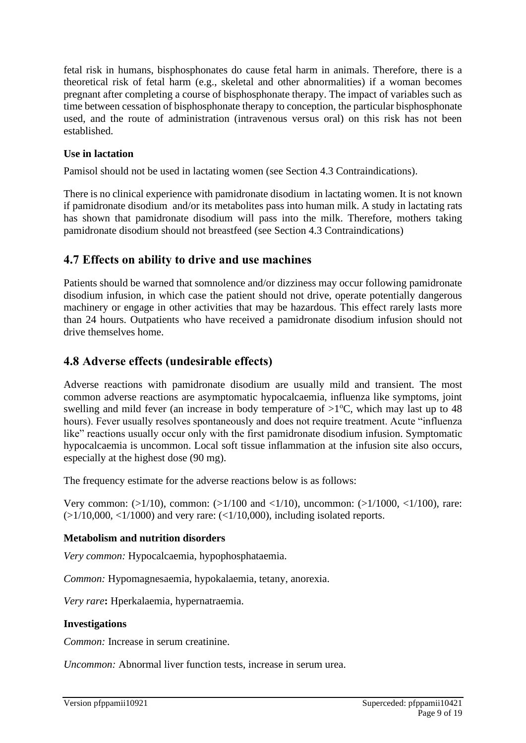fetal risk in humans, bisphosphonates do cause fetal harm in animals. Therefore, there is a theoretical risk of fetal harm (e.g., skeletal and other abnormalities) if a woman becomes pregnant after completing a course of bisphosphonate therapy. The impact of variables such as time between cessation of bisphosphonate therapy to conception, the particular bisphosphonate used, and the route of administration (intravenous versus oral) on this risk has not been established.

#### **Use in lactation**

Pamisol should not be used in lactating women (see Section 4.3 Contraindications).

There is no clinical experience with pamidronate disodium in lactating women. It is not known if pamidronate disodium and/or its metabolites pass into human milk. A study in lactating rats has shown that pamidronate disodium will pass into the milk. Therefore, mothers taking pamidronate disodium should not breastfeed (see Section 4.3 Contraindications)

### **4.7 Effects on ability to drive and use machines**

Patients should be warned that somnolence and/or dizziness may occur following pamidronate disodium infusion, in which case the patient should not drive, operate potentially dangerous machinery or engage in other activities that may be hazardous. This effect rarely lasts more than 24 hours. Outpatients who have received a pamidronate disodium infusion should not drive themselves home.

### **4.8 Adverse effects (undesirable effects)**

Adverse reactions with pamidronate disodium are usually mild and transient. The most common adverse reactions are asymptomatic hypocalcaemia, influenza like symptoms, joint swelling and mild fever (an increase in body temperature of  $>1^{\circ}C$ , which may last up to 48 hours). Fever usually resolves spontaneously and does not require treatment. Acute "influenza like" reactions usually occur only with the first pamidronate disodium infusion. Symptomatic hypocalcaemia is uncommon. Local soft tissue inflammation at the infusion site also occurs, especially at the highest dose (90 mg).

The frequency estimate for the adverse reactions below is as follows:

Very common: (>1/10), common: (>1/100 and <1/10), uncommon: (>1/1000, <1/100), rare:  $(>1/10,000, <1/1000)$  and very rare:  $(<1/10,000)$ , including isolated reports.

#### **Metabolism and nutrition disorders**

*Very common:* Hypocalcaemia, hypophosphataemia.

*Common:* Hypomagnesaemia, hypokalaemia, tetany, anorexia.

*Very rare***:** Hperkalaemia, hypernatraemia.

#### **Investigations**

*Common:* Increase in serum creatinine.

*Uncommon:* Abnormal liver function tests, increase in serum urea.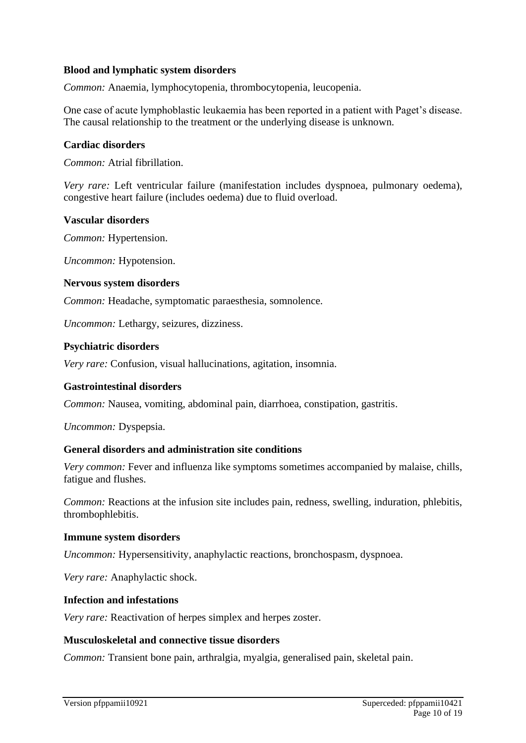#### **Blood and lymphatic system disorders**

*Common:* Anaemia, lymphocytopenia, thrombocytopenia, leucopenia.

One case of acute lymphoblastic leukaemia has been reported in a patient with Paget's disease. The causal relationship to the treatment or the underlying disease is unknown.

#### **Cardiac disorders**

*Common:* Atrial fibrillation.

*Very rare:* Left ventricular failure (manifestation includes dyspnoea, pulmonary oedema), congestive heart failure (includes oedema) due to fluid overload.

#### **Vascular disorders**

*Common:* Hypertension.

*Uncommon:* Hypotension.

#### **Nervous system disorders**

*Common:* Headache, symptomatic paraesthesia, somnolence.

*Uncommon:* Lethargy, seizures, dizziness.

#### **Psychiatric disorders**

*Very rare:* Confusion, visual hallucinations, agitation, insomnia.

#### **Gastrointestinal disorders**

*Common:* Nausea, vomiting, abdominal pain, diarrhoea, constipation, gastritis.

*Uncommon:* Dyspepsia.

#### **General disorders and administration site conditions**

*Very common:* Fever and influenza like symptoms sometimes accompanied by malaise, chills, fatigue and flushes.

*Common:* Reactions at the infusion site includes pain, redness, swelling, induration, phlebitis, thrombophlebitis.

#### **Immune system disorders**

*Uncommon:* Hypersensitivity, anaphylactic reactions, bronchospasm, dyspnoea.

*Very rare:* Anaphylactic shock.

#### **Infection and infestations**

*Very rare:* Reactivation of herpes simplex and herpes zoster.

#### **Musculoskeletal and connective tissue disorders**

*Common:* Transient bone pain, arthralgia, myalgia, generalised pain, skeletal pain.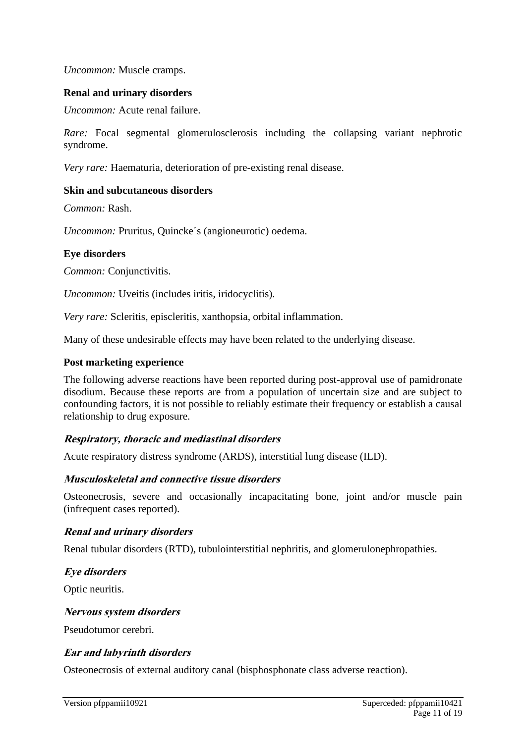#### *Uncommon:* Muscle cramps.

#### **Renal and urinary disorders**

*Uncommon:* Acute renal failure.

*Rare:* Focal segmental glomerulosclerosis including the collapsing variant nephrotic syndrome.

*Very rare:* Haematuria, deterioration of pre-existing renal disease.

#### **Skin and subcutaneous disorders**

*Common:* Rash.

*Uncommon:* Pruritus, Quincke´s (angioneurotic) oedema.

#### **Eye disorders**

*Common:* Conjunctivitis.

*Uncommon:* Uveitis (includes iritis, iridocyclitis).

*Very rare:* Scleritis, episcleritis, xanthopsia, orbital inflammation.

Many of these undesirable effects may have been related to the underlying disease.

#### **Post marketing experience**

The following adverse reactions have been reported during post-approval use of pamidronate disodium. Because these reports are from a population of uncertain size and are subject to confounding factors, it is not possible to reliably estimate their frequency or establish a causal relationship to drug exposure.

#### **Respiratory, thoracic and mediastinal disorders**

Acute respiratory distress syndrome (ARDS), interstitial lung disease (ILD).

#### **Musculoskeletal and connective tissue disorders**

Osteonecrosis, severe and occasionally incapacitating bone, joint and/or muscle pain (infrequent cases reported).

#### **Renal and urinary disorders**

Renal tubular disorders (RTD), tubulointerstitial nephritis, and glomerulonephropathies.

#### **Eye disorders**

Optic neuritis.

#### **Nervous system disorders**

Pseudotumor cerebri.

#### **Ear and labyrinth disorders**

Osteonecrosis of external auditory canal (bisphosphonate class adverse reaction).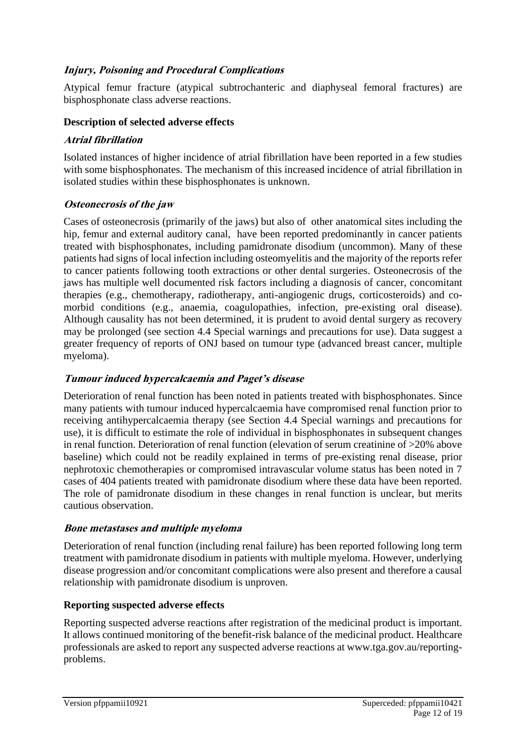#### **Injury, Poisoning and Procedural Complications**

Atypical femur fracture (atypical subtrochanteric and diaphyseal femoral fractures) are bisphosphonate class adverse reactions.

#### **Description of selected adverse effects**

#### **Atrial fibrillation**

Isolated instances of higher incidence of atrial fibrillation have been reported in a few studies with some bisphosphonates. The mechanism of this increased incidence of atrial fibrillation in isolated studies within these bisphosphonates is unknown.

#### **Osteonecrosis of the jaw**

Cases of osteonecrosis (primarily of the jaws) but also of other anatomical sites including the hip, femur and external auditory canal, have been reported predominantly in cancer patients treated with bisphosphonates, including pamidronate disodium (uncommon). Many of these patients had signs of local infection including osteomyelitis and the majority of the reports refer to cancer patients following tooth extractions or other dental surgeries. Osteonecrosis of the jaws has multiple well documented risk factors including a diagnosis of cancer, concomitant therapies (e.g., chemotherapy, radiotherapy, anti-angiogenic drugs, corticosteroids) and comorbid conditions (e.g., anaemia, coagulopathies, infection, pre-existing oral disease). Although causality has not been determined, it is prudent to avoid dental surgery as recovery may be prolonged (see section 4.4 Special warnings and precautions for use). Data suggest a greater frequency of reports of ONJ based on tumour type (advanced breast cancer, multiple myeloma).

#### **Tumour induced hypercalcaemia and Paget's disease**

Deterioration of renal function has been noted in patients treated with bisphosphonates. Since many patients with tumour induced hypercalcaemia have compromised renal function prior to receiving antihypercalcaemia therapy (see Section 4.4 Special warnings and precautions for use), it is difficult to estimate the role of individual in bisphosphonates in subsequent changes in renal function. Deterioration of renal function (elevation of serum creatinine of >20% above baseline) which could not be readily explained in terms of pre-existing renal disease, prior nephrotoxic chemotherapies or compromised intravascular volume status has been noted in 7 cases of 404 patients treated with pamidronate disodium where these data have been reported. The role of pamidronate disodium in these changes in renal function is unclear, but merits cautious observation.

#### **Bone metastases and multiple myeloma**

Deterioration of renal function (including renal failure) has been reported following long term treatment with pamidronate disodium in patients with multiple myeloma. However, underlying disease progression and/or concomitant complications were also present and therefore a causal relationship with pamidronate disodium is unproven.

#### **Reporting suspected adverse effects**

Reporting suspected adverse reactions after registration of the medicinal product is important. It allows continued monitoring of the benefit-risk balance of the medicinal product. Healthcare professionals are asked to report any suspected adverse reactions at [www.tga.gov.au/reporting](http://www.tga.gov.au/reporting-problems)[problems.](http://www.tga.gov.au/reporting-problems)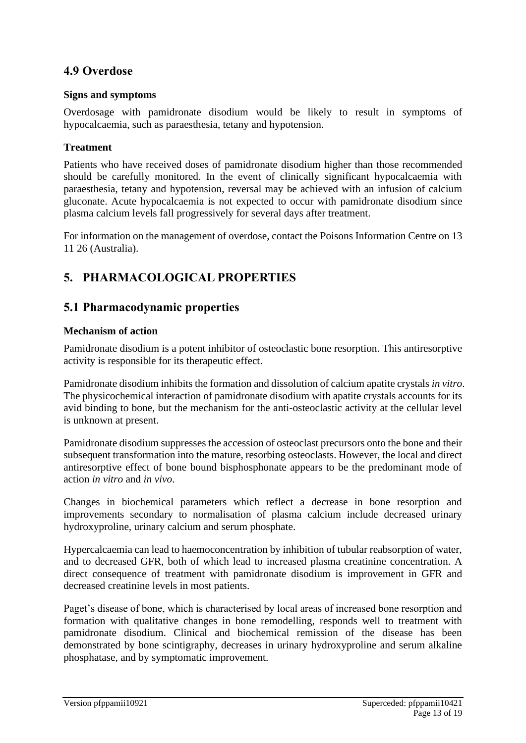### **4.9 Overdose**

#### **Signs and symptoms**

Overdosage with pamidronate disodium would be likely to result in symptoms of hypocalcaemia, such as paraesthesia, tetany and hypotension.

#### **Treatment**

Patients who have received doses of pamidronate disodium higher than those recommended should be carefully monitored. In the event of clinically significant hypocalcaemia with paraesthesia, tetany and hypotension, reversal may be achieved with an infusion of calcium gluconate. Acute hypocalcaemia is not expected to occur with pamidronate disodium since plasma calcium levels fall progressively for several days after treatment.

For information on the management of overdose, contact the Poisons Information Centre on 13 11 26 (Australia).

# **5. PHARMACOLOGICAL PROPERTIES**

### **5.1 Pharmacodynamic properties**

#### **Mechanism of action**

Pamidronate disodium is a potent inhibitor of osteoclastic bone resorption. This antiresorptive activity is responsible for its therapeutic effect.

Pamidronate disodium inhibits the formation and dissolution of calcium apatite crystals *in vitro*. The physicochemical interaction of pamidronate disodium with apatite crystals accounts for its avid binding to bone, but the mechanism for the anti-osteoclastic activity at the cellular level is unknown at present.

Pamidronate disodium suppresses the accession of osteoclast precursors onto the bone and their subsequent transformation into the mature, resorbing osteoclasts. However, the local and direct antiresorptive effect of bone bound bisphosphonate appears to be the predominant mode of action *in vitro* and *in vivo*.

Changes in biochemical parameters which reflect a decrease in bone resorption and improvements secondary to normalisation of plasma calcium include decreased urinary hydroxyproline, urinary calcium and serum phosphate.

Hypercalcaemia can lead to haemoconcentration by inhibition of tubular reabsorption of water, and to decreased GFR, both of which lead to increased plasma creatinine concentration. A direct consequence of treatment with pamidronate disodium is improvement in GFR and decreased creatinine levels in most patients.

Paget's disease of bone, which is characterised by local areas of increased bone resorption and formation with qualitative changes in bone remodelling, responds well to treatment with pamidronate disodium. Clinical and biochemical remission of the disease has been demonstrated by bone scintigraphy, decreases in urinary hydroxyproline and serum alkaline phosphatase, and by symptomatic improvement.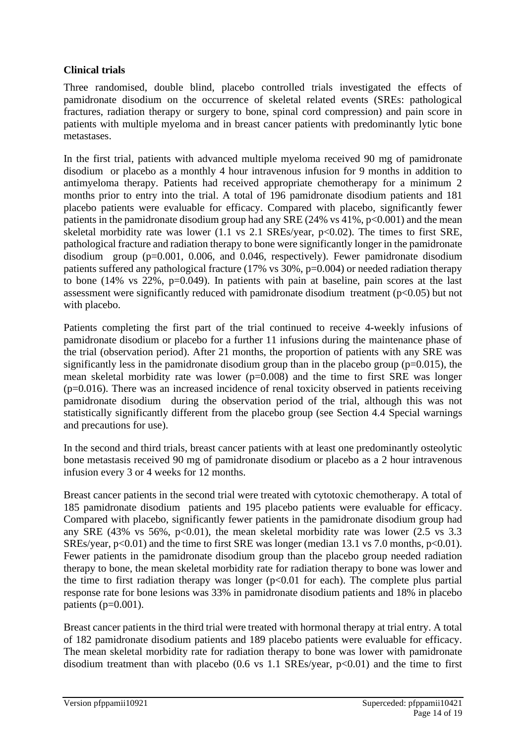#### **Clinical trials**

Three randomised, double blind, placebo controlled trials investigated the effects of pamidronate disodium on the occurrence of skeletal related events (SREs: pathological fractures, radiation therapy or surgery to bone, spinal cord compression) and pain score in patients with multiple myeloma and in breast cancer patients with predominantly lytic bone metastases.

In the first trial, patients with advanced multiple myeloma received 90 mg of pamidronate disodium or placebo as a monthly 4 hour intravenous infusion for 9 months in addition to antimyeloma therapy. Patients had received appropriate chemotherapy for a minimum 2 months prior to entry into the trial. A total of 196 pamidronate disodium patients and 181 placebo patients were evaluable for efficacy. Compared with placebo, significantly fewer patients in the pamidronate disodium group had any SRE  $(24\% \text{ vs } 41\%, \text{ p} < 0.001)$  and the mean skeletal morbidity rate was lower  $(1.1 \text{ vs } 2.1 \text{ SREs/year}, p<0.02)$ . The times to first SRE, pathological fracture and radiation therapy to bone were significantly longer in the pamidronate disodium group (p=0.001, 0.006, and 0.046, respectively). Fewer pamidronate disodium patients suffered any pathological fracture (17% vs 30%, p=0.004) or needed radiation therapy to bone (14% vs 22%, p=0.049). In patients with pain at baseline, pain scores at the last assessment were significantly reduced with pamidronate disodium treatment ( $p<0.05$ ) but not with placebo.

Patients completing the first part of the trial continued to receive 4-weekly infusions of pamidronate disodium or placebo for a further 11 infusions during the maintenance phase of the trial (observation period). After 21 months, the proportion of patients with any SRE was significantly less in the pamidronate disodium group than in the placebo group ( $p=0.015$ ), the mean skeletal morbidity rate was lower  $(p=0.008)$  and the time to first SRE was longer  $(p=0.016)$ . There was an increased incidence of renal toxicity observed in patients receiving pamidronate disodium during the observation period of the trial, although this was not statistically significantly different from the placebo group (see Section 4.4 Special warnings and precautions for use).

In the second and third trials, breast cancer patients with at least one predominantly osteolytic bone metastasis received 90 mg of pamidronate disodium or placebo as a 2 hour intravenous infusion every 3 or 4 weeks for 12 months.

Breast cancer patients in the second trial were treated with cytotoxic chemotherapy. A total of 185 pamidronate disodium patients and 195 placebo patients were evaluable for efficacy. Compared with placebo, significantly fewer patients in the pamidronate disodium group had any SRE (43% vs 56%,  $p<0.01$ ), the mean skeletal morbidity rate was lower (2.5 vs 3.3) SREs/year,  $p<0.01$ ) and the time to first SRE was longer (median 13.1 vs 7.0 months,  $p<0.01$ ). Fewer patients in the pamidronate disodium group than the placebo group needed radiation therapy to bone, the mean skeletal morbidity rate for radiation therapy to bone was lower and the time to first radiation therapy was longer  $(p<0.01$  for each). The complete plus partial response rate for bone lesions was 33% in pamidronate disodium patients and 18% in placebo patients  $(p=0.001)$ .

Breast cancer patients in the third trial were treated with hormonal therapy at trial entry. A total of 182 pamidronate disodium patients and 189 placebo patients were evaluable for efficacy. The mean skeletal morbidity rate for radiation therapy to bone was lower with pamidronate disodium treatment than with placebo (0.6 vs 1.1 SREs/year,  $p<0.01$ ) and the time to first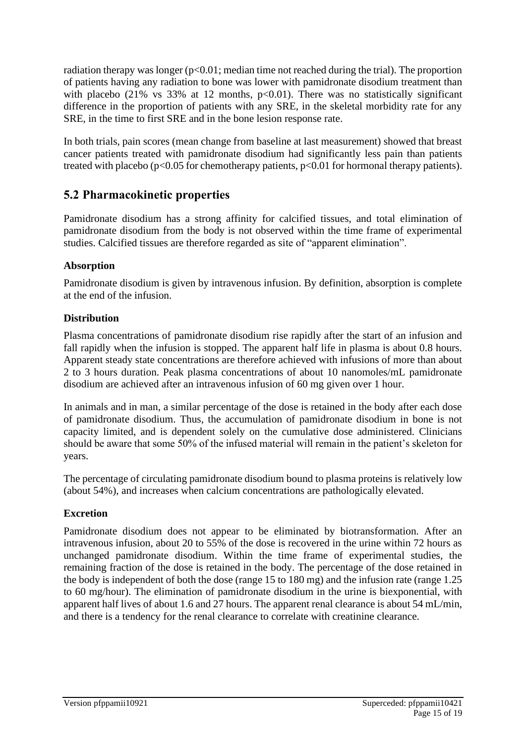radiation therapy was longer  $(p<0.01$ ; median time not reached during the trial). The proportion of patients having any radiation to bone was lower with pamidronate disodium treatment than with placebo (21% vs 33% at 12 months,  $p<0.01$ ). There was no statistically significant difference in the proportion of patients with any SRE, in the skeletal morbidity rate for any SRE, in the time to first SRE and in the bone lesion response rate.

In both trials, pain scores (mean change from baseline at last measurement) showed that breast cancer patients treated with pamidronate disodium had significantly less pain than patients treated with placebo ( $p<0.05$  for chemotherapy patients,  $p<0.01$  for hormonal therapy patients).

### **5.2 Pharmacokinetic properties**

Pamidronate disodium has a strong affinity for calcified tissues, and total elimination of pamidronate disodium from the body is not observed within the time frame of experimental studies. Calcified tissues are therefore regarded as site of "apparent elimination".

### **Absorption**

Pamidronate disodium is given by intravenous infusion. By definition, absorption is complete at the end of the infusion.

### **Distribution**

Plasma concentrations of pamidronate disodium rise rapidly after the start of an infusion and fall rapidly when the infusion is stopped. The apparent half life in plasma is about 0.8 hours. Apparent steady state concentrations are therefore achieved with infusions of more than about 2 to 3 hours duration. Peak plasma concentrations of about 10 nanomoles/mL pamidronate disodium are achieved after an intravenous infusion of 60 mg given over 1 hour.

In animals and in man, a similar percentage of the dose is retained in the body after each dose of pamidronate disodium. Thus, the accumulation of pamidronate disodium in bone is not capacity limited, and is dependent solely on the cumulative dose administered. Clinicians should be aware that some 50% of the infused material will remain in the patient's skeleton for years.

The percentage of circulating pamidronate disodium bound to plasma proteins is relatively low (about 54%), and increases when calcium concentrations are pathologically elevated.

### **Excretion**

Pamidronate disodium does not appear to be eliminated by biotransformation. After an intravenous infusion, about 20 to 55% of the dose is recovered in the urine within 72 hours as unchanged pamidronate disodium. Within the time frame of experimental studies, the remaining fraction of the dose is retained in the body. The percentage of the dose retained in the body is independent of both the dose (range 15 to 180 mg) and the infusion rate (range 1.25 to 60 mg/hour). The elimination of pamidronate disodium in the urine is biexponential, with apparent half lives of about 1.6 and 27 hours. The apparent renal clearance is about 54 mL/min, and there is a tendency for the renal clearance to correlate with creatinine clearance.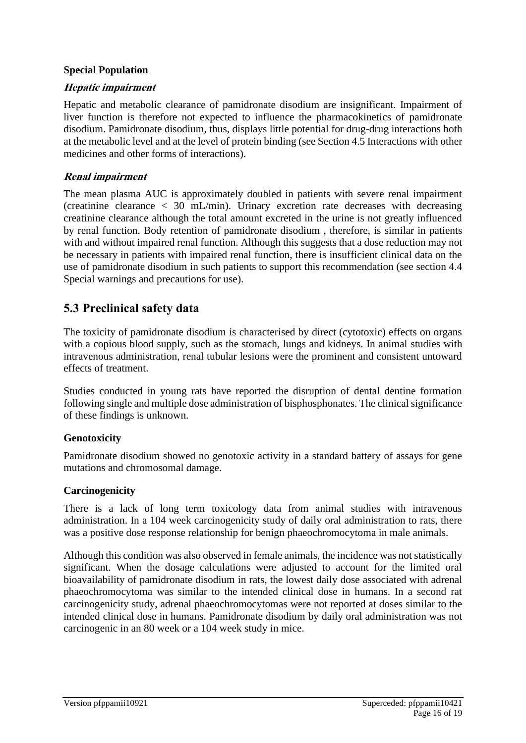#### **Special Population**

#### **Hepatic impairment**

Hepatic and metabolic clearance of pamidronate disodium are insignificant. Impairment of liver function is therefore not expected to influence the pharmacokinetics of pamidronate disodium. Pamidronate disodium, thus, displays little potential for drug-drug interactions both at the metabolic level and at the level of protein binding (see Section 4.5 Interactions with other medicines and other forms of interactions).

#### **Renal impairment**

The mean plasma AUC is approximately doubled in patients with severe renal impairment (creatinine clearance < 30 mL/min). Urinary excretion rate decreases with decreasing creatinine clearance although the total amount excreted in the urine is not greatly influenced by renal function. Body retention of pamidronate disodium , therefore, is similar in patients with and without impaired renal function. Although this suggests that a dose reduction may not be necessary in patients with impaired renal function, there is insufficient clinical data on the use of pamidronate disodium in such patients to support this recommendation (see section 4.4 Special warnings and precautions for use).

### **5.3 Preclinical safety data**

The toxicity of pamidronate disodium is characterised by direct (cytotoxic) effects on organs with a copious blood supply, such as the stomach, lungs and kidneys. In animal studies with intravenous administration, renal tubular lesions were the prominent and consistent untoward effects of treatment.

Studies conducted in young rats have reported the disruption of dental dentine formation following single and multiple dose administration of bisphosphonates. The clinical significance of these findings is unknown.

#### **Genotoxicity**

Pamidronate disodium showed no genotoxic activity in a standard battery of assays for gene mutations and chromosomal damage.

#### **Carcinogenicity**

There is a lack of long term toxicology data from animal studies with intravenous administration. In a 104 week carcinogenicity study of daily oral administration to rats, there was a positive dose response relationship for benign phaeochromocytoma in male animals.

Although this condition was also observed in female animals, the incidence was not statistically significant. When the dosage calculations were adjusted to account for the limited oral bioavailability of pamidronate disodium in rats, the lowest daily dose associated with adrenal phaeochromocytoma was similar to the intended clinical dose in humans. In a second rat carcinogenicity study, adrenal phaeochromocytomas were not reported at doses similar to the intended clinical dose in humans. Pamidronate disodium by daily oral administration was not carcinogenic in an 80 week or a 104 week study in mice.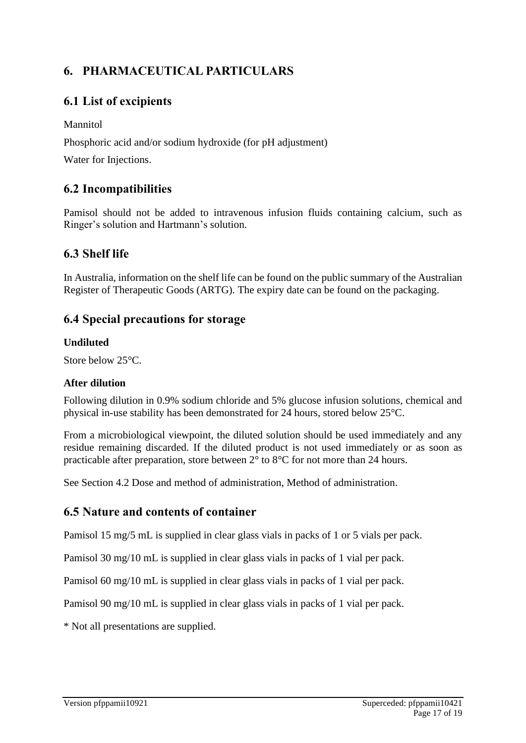# **6. PHARMACEUTICAL PARTICULARS**

### **6.1 List of excipients**

Mannitol

Phosphoric acid and/or sodium hydroxide (for pH adjustment)

Water for Injections.

### **6.2 Incompatibilities**

Pamisol should not be added to intravenous infusion fluids containing calcium, such as Ringer's solution and Hartmann's solution.

### **6.3 Shelf life**

In Australia, information on the shelf life can be found on the public summary of the Australian Register of Therapeutic Goods (ARTG). The expiry date can be found on the packaging.

### **6.4 Special precautions for storage**

#### **Undiluted**

Store below 25°C.

#### **After dilution**

Following dilution in 0.9% sodium chloride and 5% glucose infusion solutions, chemical and physical in-use stability has been demonstrated for 24 hours, stored below 25°C.

From a microbiological viewpoint, the diluted solution should be used immediately and any residue remaining discarded. If the diluted product is not used immediately or as soon as practicable after preparation, store between 2° to 8°C for not more than 24 hours.

See Section 4.2 Dose and method of administration, Method of administration.

### **6.5 Nature and contents of container**

Pamisol 15 mg/5 mL is supplied in clear glass vials in packs of 1 or 5 vials per pack.

Pamisol 30 mg/10 mL is supplied in clear glass vials in packs of 1 vial per pack.

Pamisol 60 mg/10 mL is supplied in clear glass vials in packs of 1 vial per pack.

Pamisol 90 mg/10 mL is supplied in clear glass vials in packs of 1 vial per pack.

\* Not all presentations are supplied.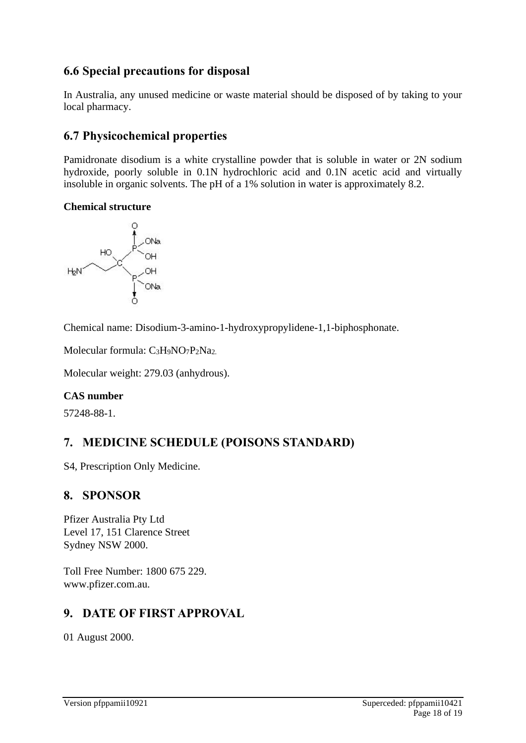# **6.6 Special precautions for disposal**

In Australia, any unused medicine or waste material should be disposed of by taking to your local pharmacy.

## **6.7 Physicochemical properties**

Pamidronate disodium is a white crystalline powder that is soluble in water or 2N sodium hydroxide, poorly soluble in 0.1N hydrochloric acid and 0.1N acetic acid and virtually insoluble in organic solvents. The pH of a 1% solution in water is approximately 8.2.

#### **Chemical structure**



Chemical name: Disodium-3-amino-1-hydroxypropylidene-1,1-biphosphonate.

Molecular formula: C<sub>3</sub>H<sub>9</sub>NO<sub>7</sub>P<sub>2</sub>Na<sub>2</sub>.

Molecular weight: 279.03 (anhydrous).

### **CAS number**

57248-88-1.

# **7. MEDICINE SCHEDULE (POISONS STANDARD)**

S4, Prescription Only Medicine.

# **8. SPONSOR**

Pfizer Australia Pty Ltd Level 17, 151 Clarence Street Sydney NSW 2000.

Toll Free Number: 1800 675 229. www.pfizer.com.au.

# **9. DATE OF FIRST APPROVAL**

01 August 2000.